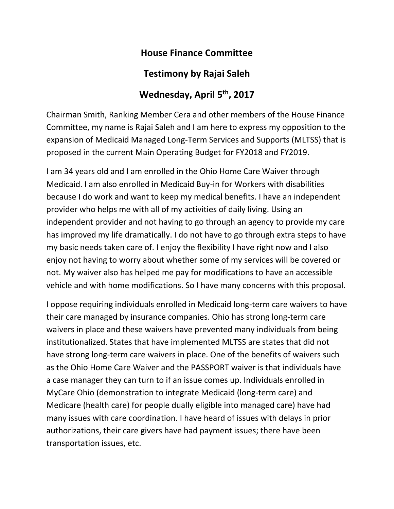## **House Finance Committee**

## **Testimony by Rajai Saleh**

## **Wednesday, April 5th, 2017**

Chairman Smith, Ranking Member Cera and other members of the House Finance Committee, my name is Rajai Saleh and I am here to express my opposition to the expansion of Medicaid Managed Long-Term Services and Supports (MLTSS) that is proposed in the current Main Operating Budget for FY2018 and FY2019.

I am 34 years old and I am enrolled in the Ohio Home Care Waiver through Medicaid. I am also enrolled in Medicaid Buy-in for Workers with disabilities because I do work and want to keep my medical benefits. I have an independent provider who helps me with all of my activities of daily living. Using an independent provider and not having to go through an agency to provide my care has improved my life dramatically. I do not have to go through extra steps to have my basic needs taken care of. I enjoy the flexibility I have right now and I also enjoy not having to worry about whether some of my services will be covered or not. My waiver also has helped me pay for modifications to have an accessible vehicle and with home modifications. So I have many concerns with this proposal.

I oppose requiring individuals enrolled in Medicaid long-term care waivers to have their care managed by insurance companies. Ohio has strong long-term care waivers in place and these waivers have prevented many individuals from being institutionalized. States that have implemented MLTSS are states that did not have strong long-term care waivers in place. One of the benefits of waivers such as the Ohio Home Care Waiver and the PASSPORT waiver is that individuals have a case manager they can turn to if an issue comes up. Individuals enrolled in MyCare Ohio (demonstration to integrate Medicaid (long-term care) and Medicare (health care) for people dually eligible into managed care) have had many issues with care coordination. I have heard of issues with delays in prior authorizations, their care givers have had payment issues; there have been transportation issues, etc.